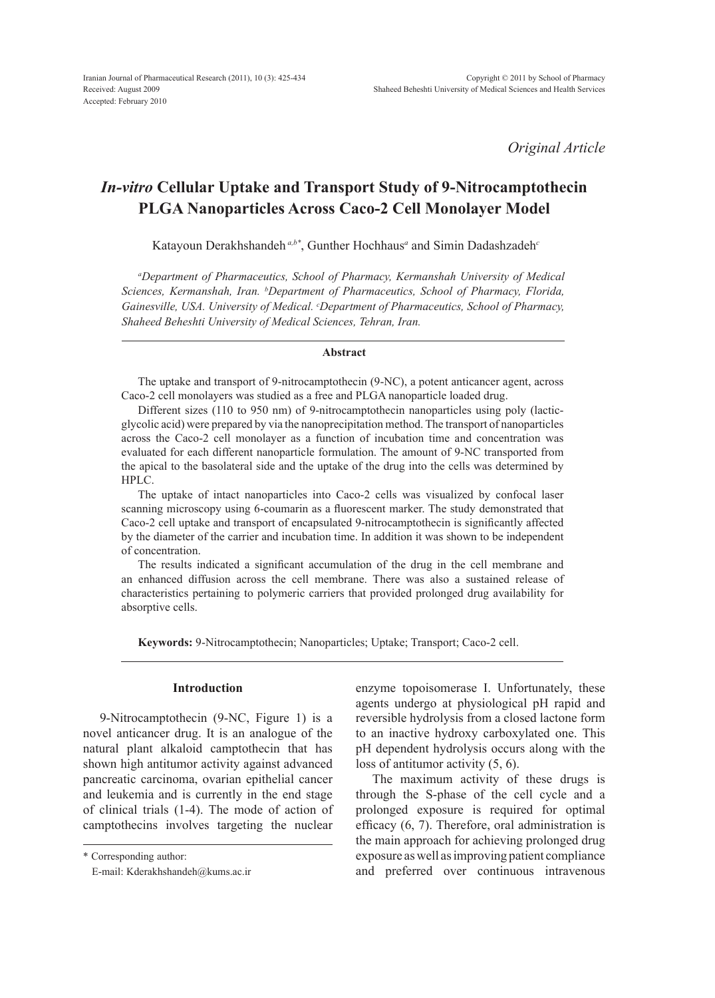*Original Article*

# *In-vitro* **Cellular Uptake and Transport Study of 9-Nitrocamptothecin PLGA Nanoparticles Across Caco-2 Cell Monolayer Model**

Katayoun Derakhshandeh *a,b\**, Gunther Hochhaus*<sup>a</sup>* and Simin Dadashzadeh*<sup>c</sup>*

*a Department of Pharmaceutics, School of Pharmacy, Kermanshah University of Medical Sciences, Kermanshah, Iran. b Department of Pharmaceutics, School of Pharmacy, Florida, Gainesville, USA. University of Medical. c Department of Pharmaceutics, School of Pharmacy, Shaheed Beheshti University of Medical Sciences, Tehran, Iran.*

#### **Abstract**

The uptake and transport of 9-nitrocamptothecin (9-NC), a potent anticancer agent, across Caco-2 cell monolayers was studied as a free and PLGA nanoparticle loaded drug.

Different sizes (110 to 950 nm) of 9-nitrocamptothecin nanoparticles using poly (lacticglycolic acid) were prepared by via the nanoprecipitation method. The transport of nanoparticles across the Caco-2 cell monolayer as a function of incubation time and concentration was evaluated for each different nanoparticle formulation. The amount of 9-NC transported from the apical to the basolateral side and the uptake of the drug into the cells was determined by HPLC.

The uptake of intact nanoparticles into Caco-2 cells was visualized by confocal laser scanning microscopy using 6-coumarin as a fluorescent marker. The study demonstrated that Caco-2 cell uptake and transport of encapsulated 9-nitrocamptothecin is significantly affected by the diameter of the carrier and incubation time. In addition it was shown to be independent of concentration.

The results indicated a significant accumulation of the drug in the cell membrane and an enhanced diffusion across the cell membrane. There was also a sustained release of characteristics pertaining to polymeric carriers that provided prolonged drug availability for absorptive cells.

**Keywords:** 9-Nitrocamptothecin; Nanoparticles; Uptake; Transport; Caco-2 cell.

#### **Introduction**

9-Nitrocamptothecin (9-NC, Figure 1) is a novel anticancer drug. It is an analogue of the natural plant alkaloid camptothecin that has shown high antitumor activity against advanced pancreatic carcinoma, ovarian epithelial cancer and leukemia and is currently in the end stage of clinical trials (1-4). The mode of action of camptothecins involves targeting the nuclear

\* Corresponding author:

enzyme topoisomerase I. Unfortunately, these agents undergo at physiological pH rapid and reversible hydrolysis from a closed lactone form to an inactive hydroxy carboxylated one. This pH dependent hydrolysis occurs along with the loss of antitumor activity (5, 6).

The maximum activity of these drugs is through the S-phase of the cell cycle and a prolonged exposure is required for optimal efficacy (6, 7). Therefore, oral administration is the main approach for achieving prolonged drug exposure as well as improving patient compliance and preferred over continuous intravenous

E-mail: Kderakhshandeh@kums.ac.ir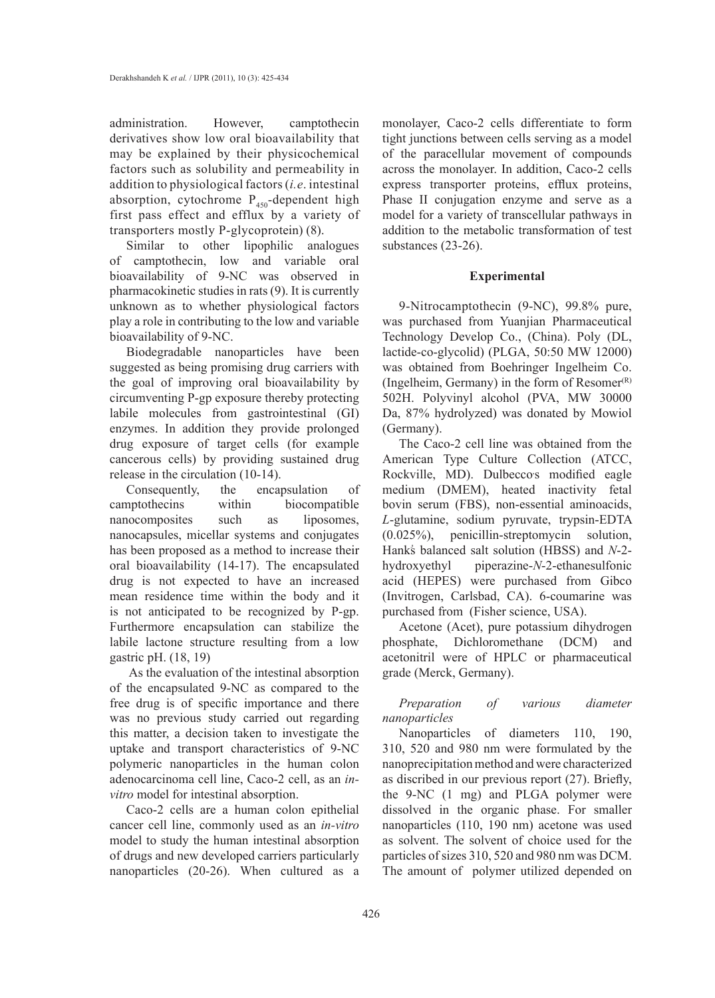administration. However, camptothecin derivatives show low oral bioavailability that may be explained by their physicochemical factors such as solubility and permeability in addition to physiological factors (*i.e*. intestinal absorption, cytochrome  $P_{450}$ -dependent high first pass effect and efflux by a variety of transporters mostly P-glycoprotein) (8).

Similar to other lipophilic analogues of camptothecin, low and variable oral bioavailability of 9-NC was observed in pharmacokinetic studies in rats (9). It is currently unknown as to whether physiological factors play a role in contributing to the low and variable bioavailability of 9-NC.

Biodegradable nanoparticles have been suggested as being promising drug carriers with the goal of improving oral bioavailability by circumventing P-gp exposure thereby protecting labile molecules from gastrointestinal (GI) enzymes. In addition they provide prolonged drug exposure of target cells (for example cancerous cells) by providing sustained drug release in the circulation (10-14).

Consequently, the encapsulation of camptothecins within biocompatible nanocomposites such as liposomes, nanocapsules, micellar systems and conjugates has been proposed as a method to increase their oral bioavailability (14-17). The encapsulated drug is not expected to have an increased mean residence time within the body and it is not anticipated to be recognized by P-gp. Furthermore encapsulation can stabilize the labile lactone structure resulting from a low gastric pH. (18, 19)

 As the evaluation of the intestinal absorption of the encapsulated 9-NC as compared to the free drug is of specific importance and there was no previous study carried out regarding this matter, a decision taken to investigate the uptake and transport characteristics of 9-NC polymeric nanoparticles in the human colon adenocarcinoma cell line, Caco-2 cell, as an *invitro* model for intestinal absorption.

Caco-2 cells are a human colon epithelial cancer cell line, commonly used as an *in-vitro* model to study the human intestinal absorption of drugs and new developed carriers particularly nanoparticles (20-26). When cultured as a monolayer, Caco-2 cells differentiate to form tight junctions between cells serving as a model of the paracellular movement of compounds across the monolayer. In addition, Caco-2 cells express transporter proteins, efflux proteins, Phase II conjugation enzyme and serve as a model for a variety of transcellular pathways in addition to the metabolic transformation of test substances (23-26).

# **Experimental**

9-Nitrocamptothecin (9-NC), 99.8% pure, was purchased from Yuanjian Pharmaceutical Technology Develop Co., (China). Poly (DL, lactide-co-glycolid) (PLGA, 50:50 MW 12000) was obtained from Boehringer Ingelheim Co. (Ingelheim, Germany) in the form of  $Resomer^{(R)}$ 502H. Polyvinyl alcohol (PVA, MW 30000 Da, 87% hydrolyzed) was donated by Mowiol (Germany).

The Caco-2 cell line was obtained from the American Type Culture Collection (ATCC, Rockville, MD). Dulbeccos modified eagle medium (DMEM), heated inactivity fetal bovin serum (FBS), non-essential aminoacids, *L*-glutamine, sodium pyruvate, trypsin-EDTA (0.025%), penicillin-streptomycin solution, Hank's balanced salt solution (HBSS) and *N*-2hydroxyethyl piperazine-*N*-2-ethanesulfonic acid (HEPES) were purchased from Gibco (Invitrogen, Carlsbad, CA). 6-coumarine was purchased from (Fisher science, USA).

Acetone (Acet), pure potassium dihydrogen phosphate, Dichloromethane (DCM) and acetonitril were of HPLC or pharmaceutical grade (Merck, Germany).

*Preparation of various diameter nanoparticles*

Nanoparticles of diameters 110, 190, 310, 520 and 980 nm were formulated by the nanoprecipitation method and were characterized as discribed in our previous report (27). Briefly, the 9-NC (1 mg) and PLGA polymer were dissolved in the organic phase. For smaller nanoparticles (110, 190 nm) acetone was used as solvent. The solvent of choice used for the particles of sizes 310, 520 and 980 nm was DCM. The amount of polymer utilized depended on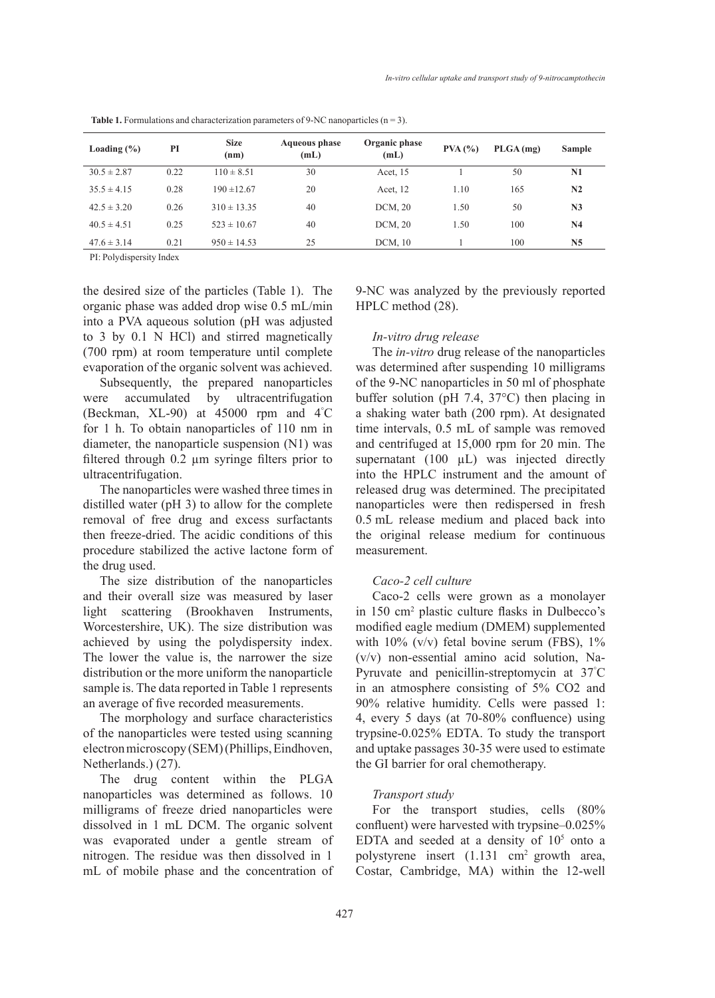| Loading $(\% )$ | PI   | <b>Size</b><br>(nm) | <b>Aqueous phase</b><br>(mL) | Organic phase<br>(mL) | PVA (%) | $PLGA$ (mg) | <b>Sample</b>  |
|-----------------|------|---------------------|------------------------------|-----------------------|---------|-------------|----------------|
| $30.5 \pm 2.87$ | 0.22 | $110 \pm 8.51$      | 30                           | Acet, 15              |         | 50          | N1             |
| $35.5 \pm 4.15$ | 0.28 | $190 \pm 12.67$     | 20                           | Acet, 12              | 1.10    | 165         | N <sub>2</sub> |
| $42.5 \pm 3.20$ | 0.26 | $310 \pm 13.35$     | 40                           | DCM, 20               | 1.50    | 50          | N <sub>3</sub> |
| $40.5 \pm 4.51$ | 0.25 | $523 \pm 10.67$     | 40                           | DCM, 20               | 1.50    | 100         | N <sub>4</sub> |
| $47.6 \pm 3.14$ | 0.21 | $950 \pm 14.53$     | 25                           | DCM, 10               |         | 100         | N <sub>5</sub> |

**Table 1.** Formulations and characterization parameters of 9-NC nanoparticles  $(n = 3)$ .

PI: Polydispersity Index

the desired size of the particles (Table 1). The organic phase was added drop wise 0.5 mL/min into a PVA aqueous solution (pH was adjusted to 3 by 0.1 N HCl) and stirred magnetically (700 rpm) at room temperature until complete evaporation of the organic solvent was achieved.

Subsequently, the prepared nanoparticles were accumulated by ultracentrifugation (Beckman, XL-90) at 45000 rpm and 4° C for 1 h. To obtain nanoparticles of 110 nm in diameter, the nanoparticle suspension (N1) was filtered through 0.2 µm syringe filters prior to ultracentrifugation.

The nanoparticles were washed three times in distilled water (pH 3) to allow for the complete removal of free drug and excess surfactants then freeze-dried. The acidic conditions of this procedure stabilized the active lactone form of the drug used.

The size distribution of the nanoparticles and their overall size was measured by laser light scattering (Brookhaven Instruments, Worcestershire, UK). The size distribution was achieved by using the polydispersity index. The lower the value is, the narrower the size distribution or the more uniform the nanoparticle sample is. The data reported in Table 1 represents an average of five recorded measurements.

The morphology and surface characteristics of the nanoparticles were tested using scanning electron microscopy (SEM) (Phillips, Eindhoven, Netherlands.) (27).

The drug content within the PLGA nanoparticles was determined as follows. 10 milligrams of freeze dried nanoparticles were dissolved in 1 mL DCM. The organic solvent was evaporated under a gentle stream of nitrogen. The residue was then dissolved in 1 mL of mobile phase and the concentration of 9-NC was analyzed by the previously reported HPLC method (28).

# *In-vitro drug release*

The *in-vitro* drug release of the nanoparticles was determined after suspending 10 milligrams of the 9-NC nanoparticles in 50 ml of phosphate buffer solution (pH 7.4, 37°C) then placing in a shaking water bath (200 rpm). At designated time intervals, 0.5 mL of sample was removed and centrifuged at 15,000 rpm for 20 min. The supernatant  $(100 \mu L)$  was injected directly into the HPLC instrument and the amount of released drug was determined. The precipitated nanoparticles were then redispersed in fresh 0.5 mL release medium and placed back into the original release medium for continuous measurement.

#### *Caco-2 cell culture*

Caco-2 cells were grown as a monolayer in 150 cm2 plastic culture flasks in Dulbecco's modified eagle medium (DMEM) supplemented with  $10\%$  (v/v) fetal bovine serum (FBS),  $1\%$ (v/v) non-essential amino acid solution, Na-Pyruvate and penicillin-streptomycin at 37° C in an atmosphere consisting of 5% CO2 and 90% relative humidity. Cells were passed 1: 4, every 5 days (at 70-80% confluence) using trypsine-0.025% EDTA. To study the transport and uptake passages 30-35 were used to estimate the GI barrier for oral chemotherapy.

#### *Transport study*

For the transport studies, cells (80% confluent) were harvested with trypsine–0.025% EDTA and seeded at a density of  $10<sup>5</sup>$  onto a polystyrene insert (1.131 cm2 growth area, Costar, Cambridge, MA) within the 12-well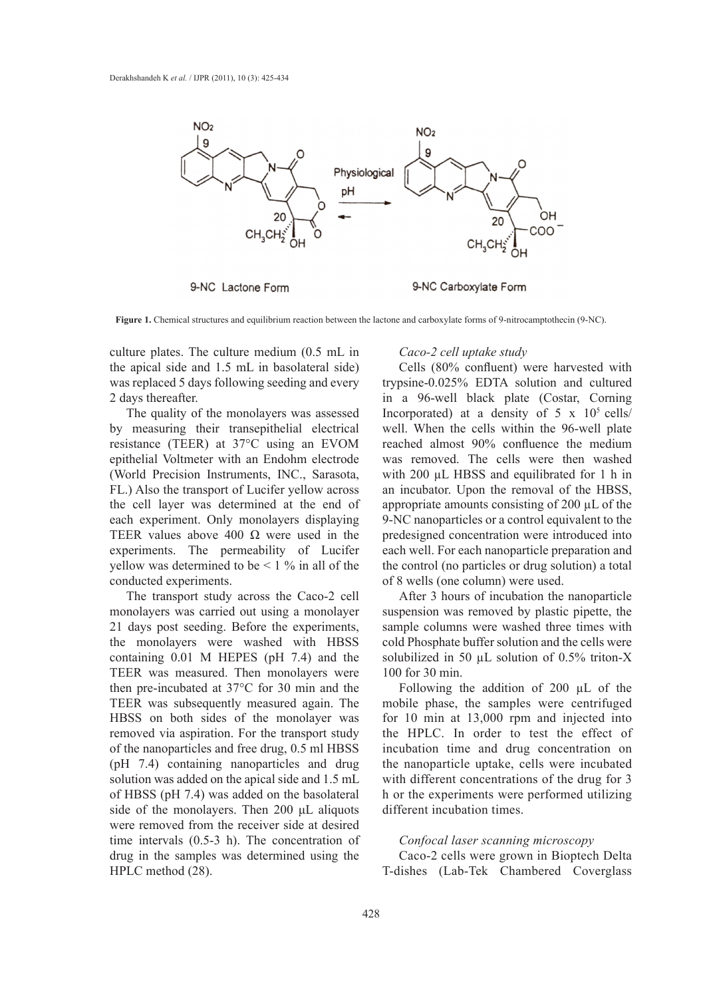

9-NC Lactone Form

9-NC Carboxylate Form

**Figure 1.** Chemical structures and equilibrium reaction between the lactone and carboxylate forms of 9-nitrocamptothecin (9-NC).

culture plates. The culture medium (0.5 mL in the apical side and 1.5 mL in basolateral side) was replaced 5 days following seeding and every 2 days thereafter.

The quality of the monolayers was assessed by measuring their transepithelial electrical resistance (TEER) at 37°C using an EVOM epithelial Voltmeter with an Endohm electrode (World Precision Instruments, INC., Sarasota, FL.) Also the transport of Lucifer yellow across the cell layer was determined at the end of each experiment. Only monolayers displaying TEER values above 400  $\Omega$  were used in the experiments. The permeability of Lucifer yellow was determined to be  $\leq 1$  % in all of the conducted experiments.

The transport study across the Caco-2 cell monolayers was carried out using a monolayer 21 days post seeding. Before the experiments, the monolayers were washed with HBSS containing 0.01 M HEPES (pH 7.4) and the TEER was measured. Then monolayers were then pre-incubated at 37°C for 30 min and the TEER was subsequently measured again. The HBSS on both sides of the monolayer was removed via aspiration. For the transport study of the nanoparticles and free drug, 0.5 ml HBSS (pH 7.4) containing nanoparticles and drug solution was added on the apical side and 1.5 mL of HBSS (pH 7.4) was added on the basolateral side of the monolayers. Then 200 μL aliquots were removed from the receiver side at desired time intervals (0.5-3 h). The concentration of drug in the samples was determined using the HPLC method (28).

#### *Caco-2 cell uptake study*

Cells (80% confluent) were harvested with trypsine-0.025% EDTA solution and cultured in a 96-well black plate (Costar, Corning Incorporated) at a density of  $5 \times 10^5$  cells/ well. When the cells within the 96-well plate reached almost 90% confluence the medium was removed. The cells were then washed with 200 µL HBSS and equilibrated for 1 h in an incubator. Upon the removal of the HBSS, appropriate amounts consisting of 200 µL of the 9-NC nanoparticles or a control equivalent to the predesigned concentration were introduced into each well. For each nanoparticle preparation and the control (no particles or drug solution) a total of 8 wells (one column) were used.

After 3 hours of incubation the nanoparticle suspension was removed by plastic pipette, the sample columns were washed three times with cold Phosphate buffer solution and the cells were solubilized in 50 µL solution of 0.5% triton-X 100 for 30 min.

Following the addition of 200 µL of the mobile phase, the samples were centrifuged for 10 min at 13,000 rpm and injected into the HPLC. In order to test the effect of incubation time and drug concentration on the nanoparticle uptake, cells were incubated with different concentrations of the drug for 3 h or the experiments were performed utilizing different incubation times.

#### *Confocal laser scanning microscopy*

Caco-2 cells were grown in Bioptech Delta T-dishes (Lab-Tek Chambered Coverglass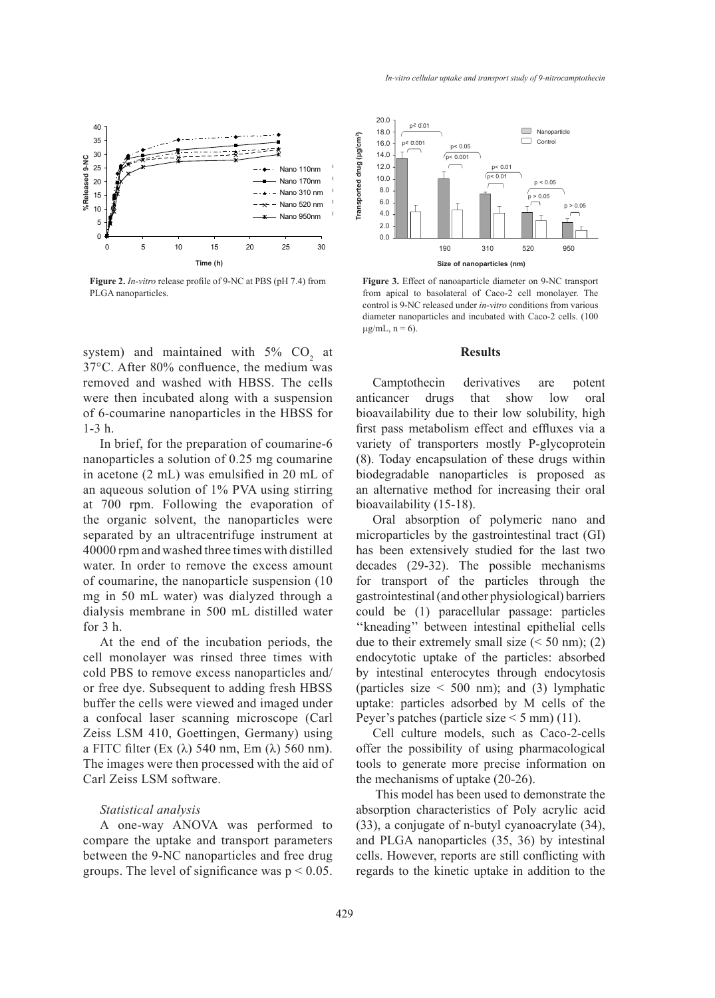

**Figure 2.** *In-vitro* release profile of 9-NC at PBS (pH 7.4) from PLGA nanoparticles.

 $0$   $0$   $0$   $0$   $0$   $0$   $0$   $20$   $25$ 

0 5 10 15 20 25 30 **time (h) Time (h)**

system) and maintained with  $5\%$  CO<sub>2</sub> at 37°C. After 80% confluence, the medium was removed and washed with HBSS. The cells were then incubated along with a suspension of 6-coumarine nanoparticles in the HBSS for 1-3 h.

In brief, for the preparation of coumarine-6 nanoparticles a solution of 0.25 mg coumarine in acetone (2 mL) was emulsified in 20 mL of an aqueous solution of 1% PVA using stirring at 700 rpm. Following the evaporation of the organic solvent, the nanoparticles were separated by an ultracentrifuge instrument at 40000 rpm and washed three times with distilled water. In order to remove the excess amount of coumarine, the nanoparticle suspension (10 mg in 50 mL water) was dialyzed through a dialysis membrane in 500 mL distilled water for 3 h.

At the end of the incubation periods, the cell monolayer was rinsed three times with cold PBS to remove excess nanoparticles and/ or free dye. Subsequent to adding fresh HBSS buffer the cells were viewed and imaged under a confocal laser scanning microscope (Carl Zeiss LSM 410, Goettingen, Germany) using a FITC filter (Ex (λ) 540 nm, Em (λ) 560 nm). The images were then processed with the aid of Carl Zeiss LSM software.

# *Statistical analysis*

A one-way ANOVA was performed to compare the uptake and transport parameters between the 9-NC nanoparticles and free drug groups. The level of significance was  $p < 0.05$ .



**Figure 3.** Effect of nanoaparticle diameter on 9-NC transport from apical to basolateral of Caco-2 cell monolayer. The control is 9-NC released under *in-vitro* conditions from various diameter nanoparticles and incubated with Caco-2 cells. (100  $\mu$ g/mL, n = 6).

#### **Results**

Camptothecin derivatives are potent anticancer drugs that show low oral bioavailability due to their low solubility, high first pass metabolism effect and effluxes via a variety of transporters mostly P-glycoprotein (8). Today encapsulation of these drugs within biodegradable nanoparticles is proposed as an alternative method for increasing their oral bioavailability (15-18).

Oral absorption of polymeric nano and microparticles by the gastrointestinal tract (GI) has been extensively studied for the last two decades (29-32). The possible mechanisms for transport of the particles through the gastrointestinal (and other physiological) barriers could be (1) paracellular passage: particles ''kneading'' between intestinal epithelial cells due to their extremely small size  $(< 50$  nm); (2) endocytotic uptake of the particles: absorbed by intestinal enterocytes through endocytosis (particles size  $\leq 500$  nm); and (3) lymphatic uptake: particles adsorbed by M cells of the Peyer's patches (particle size  $\leq$  5 mm) (11).

Cell culture models, such as Caco-2-cells offer the possibility of using pharmacological tools to generate more precise information on the mechanisms of uptake (20-26).

 This model has been used to demonstrate the absorption characteristics of Poly acrylic acid (33), a conjugate of n-butyl cyanoacrylate (34), and PLGA nanoparticles (35, 36) by intestinal cells. However, reports are still conflicting with regards to the kinetic uptake in addition to the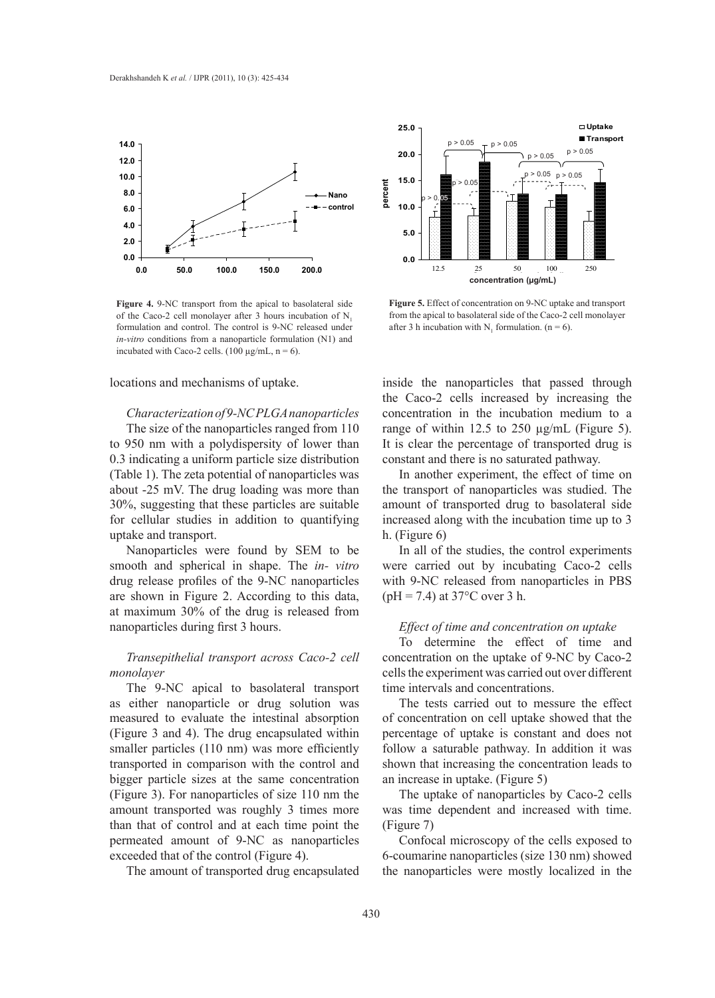

**Figure 4.** 9-NC transport from the apical to basolateral side of the Caco-2 cell monolayer after 3 hours incubation of N. formulation and control. The control is 9-NC released under *in-vitro* conditions from a nanoparticle formulation (N1) and incubated with Caco-2 cells. (100  $\mu$ g/mL, n = 6).

locations and mechanisms of uptake.

# *Characterization of 9-NC PLGA nanoparticles*

The size of the nanoparticles ranged from 110 to 950 nm with a polydispersity of lower than 0.3 indicating a uniform particle size distribution (Table 1). The zeta potential of nanoparticles was about -25 mV. The drug loading was more than 30%, suggesting that these particles are suitable for cellular studies in addition to quantifying uptake and transport.

Nanoparticles were found by SEM to be smooth and spherical in shape. The *in- vitro* drug release profiles of the 9-NC nanoparticles are shown in Figure 2. According to this data, at maximum 30% of the drug is released from nanoparticles during first 3 hours.

# *Transepithelial transport across Caco-2 cell monolayer*

The 9-NC apical to basolateral transport as either nanoparticle or drug solution was measured to evaluate the intestinal absorption (Figure 3 and 4). The drug encapsulated within smaller particles (110 nm) was more efficiently transported in comparison with the control and bigger particle sizes at the same concentration (Figure 3). For nanoparticles of size 110 nm the amount transported was roughly 3 times more than that of control and at each time point the permeated amount of 9-NC as nanoparticles exceeded that of the control (Figure 4).

The amount of transported drug encapsulated



**Figure 5.** Effect of concentration on 9-NC uptake and transport from the apical to basolateral side of the Caco-2 cell monolayer after 3 h incubation with  $N_1$  formulation. (n = 6).

inside the nanoparticles that passed through the Caco-2 cells increased by increasing the concentration in the incubation medium to a range of within 12.5 to 250 µg/mL (Figure 5). It is clear the percentage of transported drug is constant and there is no saturated pathway.

In another experiment, the effect of time on the transport of nanoparticles was studied. The amount of transported drug to basolateral side increased along with the incubation time up to 3 h. (Figure 6)

In all of the studies, the control experiments were carried out by incubating Caco-2 cells with 9-NC released from nanoparticles in PBS  $(pH = 7.4)$  at 37 $^{\circ}$ C over 3 h.

# *Effect of time and concentration on uptake*

To determine the effect of time and concentration on the uptake of 9-NC by Caco-2 cells the experiment was carried out over different time intervals and concentrations.

The tests carried out to messure the effect of concentration on cell uptake showed that the percentage of uptake is constant and does not follow a saturable pathway. In addition it was shown that increasing the concentration leads to an increase in uptake. (Figure 5)

The uptake of nanoparticles by Caco-2 cells was time dependent and increased with time. (Figure 7)

Confocal microscopy of the cells exposed to 6-coumarine nanoparticles (size 130 nm) showed the nanoparticles were mostly localized in the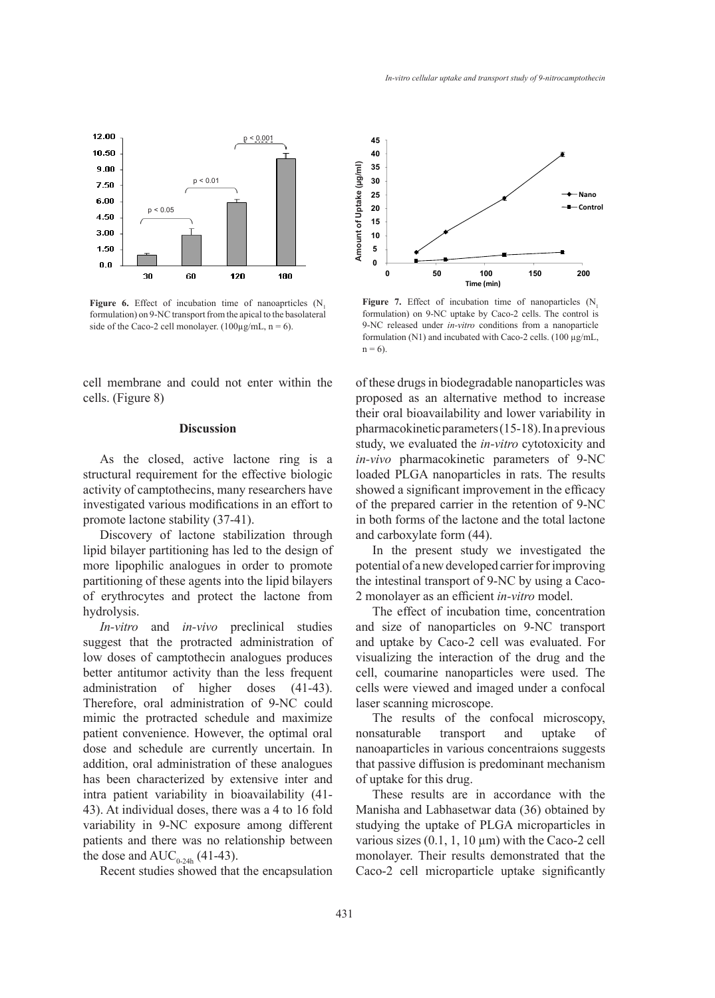

Figure 6. Effect of incubation time of nanoaprticles (N, formulation) on 9-NC transport from the apical to the basolateral side of the Caco-2 cell monolayer. (100 $\mu$ g/mL, n = 6).

cell membrane and could not enter within the cells. (Figure 8)

# **Discussion**

As the closed, active lactone ring is a structural requirement for the effective biologic activity of camptothecins, many researchers have investigated various modifications in an effort to promote lactone stability (37-41).

Discovery of lactone stabilization through lipid bilayer partitioning has led to the design of more lipophilic analogues in order to promote partitioning of these agents into the lipid bilayers of erythrocytes and protect the lactone from hydrolysis.

*In-vitro* and *in-vivo* preclinical studies suggest that the protracted administration of low doses of camptothecin analogues produces better antitumor activity than the less frequent administration of higher doses (41-43). Therefore, oral administration of 9-NC could mimic the protracted schedule and maximize patient convenience. However, the optimal oral dose and schedule are currently uncertain. In addition, oral administration of these analogues has been characterized by extensive inter and intra patient variability in bioavailability (41- 43). At individual doses, there was a 4 to 16 fold variability in 9-NC exposure among different patients and there was no relationship between the dose and  $AUC_{0.24h}$  (41-43).

Recent studies showed that the encapsulation



Figure 7. Effect of incubation time of nanoparticles (N<sub>1</sub> formulation) on 9-NC uptake by Caco-2 cells. The control is 9-NC released under *in-vitro* conditions from a nanoparticle formulation (N1) and incubated with Caco-2 cells. (100 µg/mL,  $n = 6$ ).

of these drugs in biodegradable nanoparticles was proposed as an alternative method to increase their oral bioavailability and lower variability in pharmacokinetic parameters (15-18). In a previous study, we evaluated the *in-vitro* cytotoxicity and *in-vivo* pharmacokinetic parameters of 9-NC loaded PLGA nanoparticles in rats. The results showed a significant improvement in the efficacy of the prepared carrier in the retention of 9-NC in both forms of the lactone and the total lactone and carboxylate form (44).

In the present study we investigated the potential of a new developed carrier for improving the intestinal transport of 9-NC by using a Caco-2 monolayer as an efficient *in-vitro* model.

The effect of incubation time, concentration and size of nanoparticles on 9-NC transport and uptake by Caco-2 cell was evaluated. For visualizing the interaction of the drug and the cell, coumarine nanoparticles were used. The cells were viewed and imaged under a confocal laser scanning microscope.

The results of the confocal microscopy, nonsaturable transport and uptake of nanoaparticles in various concentraions suggests that passive diffusion is predominant mechanism of uptake for this drug.

These results are in accordance with the Manisha and Labhasetwar data (36) obtained by studying the uptake of PLGA microparticles in various sizes  $(0.1, 1, 10 \,\mu\text{m})$  with the Caco-2 cell monolayer. Their results demonstrated that the Caco-2 cell microparticle uptake significantly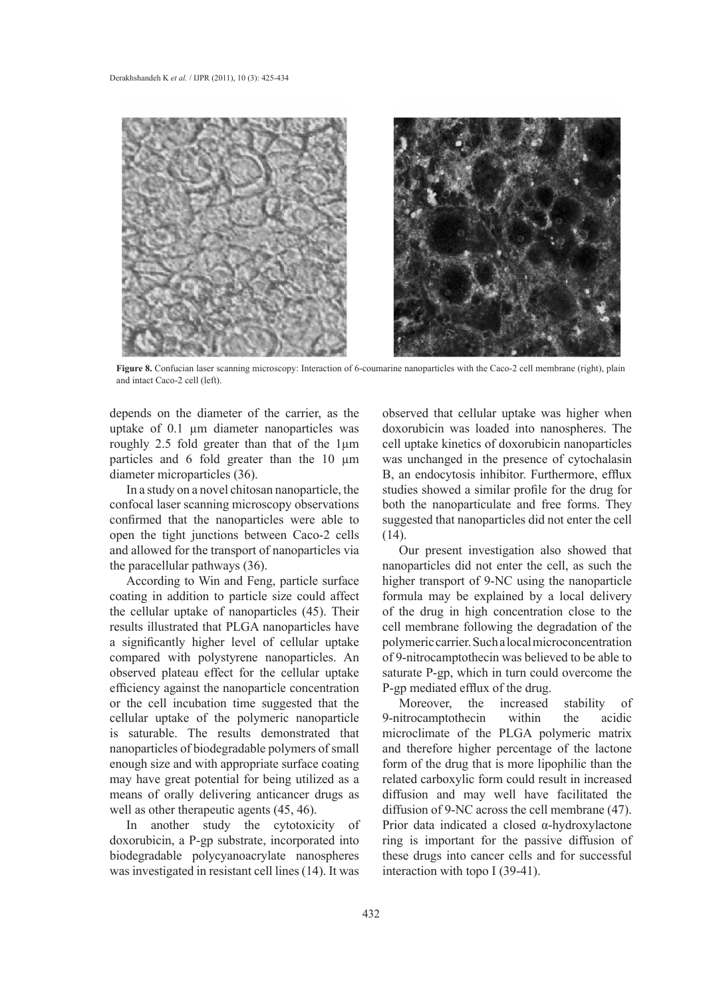

**Figure 8.** Confucian laser scanning microscopy: Interaction of 6-coumarine nanoparticles with the Caco-2 cell membrane (right), plain and intact Caco-2 cell (left).

depends on the diameter of the carrier, as the uptake of 0.1 µm diameter nanoparticles was roughly 2.5 fold greater than that of the 1µm particles and 6 fold greater than the 10  $\mu$ m diameter microparticles (36).

In a study on a novel chitosan nanoparticle, the confocal laser scanning microscopy observations confirmed that the nanoparticles were able to open the tight junctions between Caco-2 cells and allowed for the transport of nanoparticles via the paracellular pathways (36).

According to Win and Feng, particle surface coating in addition to particle size could affect the cellular uptake of nanoparticles (45). Their results illustrated that PLGA nanoparticles have a significantly higher level of cellular uptake compared with polystyrene nanoparticles. An observed plateau effect for the cellular uptake efficiency against the nanoparticle concentration or the cell incubation time suggested that the cellular uptake of the polymeric nanoparticle is saturable. The results demonstrated that nanoparticles of biodegradable polymers of small enough size and with appropriate surface coating may have great potential for being utilized as a means of orally delivering anticancer drugs as well as other therapeutic agents (45, 46).

In another study the cytotoxicity of doxorubicin, a P-gp substrate, incorporated into biodegradable polycyanoacrylate nanospheres was investigated in resistant cell lines (14). It was

observed that cellular uptake was higher when doxorubicin was loaded into nanospheres. The cell uptake kinetics of doxorubicin nanoparticles was unchanged in the presence of cytochalasin B, an endocytosis inhibitor. Furthermore, efflux studies showed a similar profile for the drug for both the nanoparticulate and free forms. They suggested that nanoparticles did not enter the cell (14).

Our present investigation also showed that nanoparticles did not enter the cell, as such the higher transport of 9-NC using the nanoparticle formula may be explained by a local delivery of the drug in high concentration close to the cell membrane following the degradation of the polymeric carrier. Such a local microconcentration of 9-nitrocamptothecin was believed to be able to saturate P-gp, which in turn could overcome the P-gp mediated efflux of the drug.

Moreover, the increased stability of 9-nitrocamptothecin within the acidic microclimate of the PLGA polymeric matrix and therefore higher percentage of the lactone form of the drug that is more lipophilic than the related carboxylic form could result in increased diffusion and may well have facilitated the diffusion of 9-NC across the cell membrane (47). Prior data indicated a closed α-hydroxylactone ring is important for the passive diffusion of these drugs into cancer cells and for successful interaction with topo I (39-41).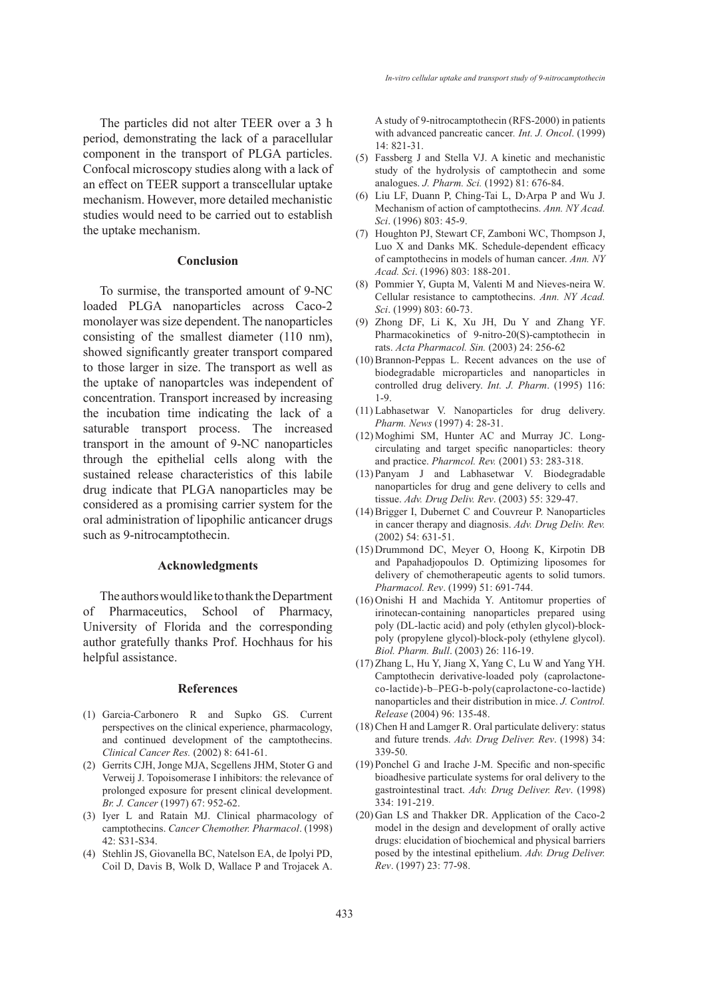The particles did not alter TEER over a 3 h period, demonstrating the lack of a paracellular component in the transport of PLGA particles. Confocal microscopy studies along with a lack of an effect on TEER support a transcellular uptake mechanism. However, more detailed mechanistic studies would need to be carried out to establish the uptake mechanism.

# **Conclusion**

To surmise, the transported amount of 9-NC loaded PLGA nanoparticles across Caco-2 monolayer was size dependent. The nanoparticles consisting of the smallest diameter (110 nm), showed significantly greater transport compared to those larger in size. The transport as well as the uptake of nanopartcles was independent of concentration. Transport increased by increasing the incubation time indicating the lack of a saturable transport process. The increased transport in the amount of 9-NC nanoparticles through the epithelial cells along with the sustained release characteristics of this labile drug indicate that PLGA nanoparticles may be considered as a promising carrier system for the oral administration of lipophilic anticancer drugs such as 9-nitrocamptothecin.

## **Acknowledgments**

The authors would like to thank the Department of Pharmaceutics, School of Pharmacy, University of Florida and the corresponding author gratefully thanks Prof. Hochhaus for his helpful assistance.

#### **References**

- Garcia-Carbonero R and Supko GS. Current (1) perspectives on the clinical experience, pharmacology, and continued development of the camptothecins. *Clinical Cancer Res.* (2002) 8: 641-61.
- (2) Gerrits CJH, Jonge MJA, Scgellens JHM, Stoter G and Verweij J. Topoisomerase I inhibitors: the relevance of prolonged exposure for present clinical development. *Br. J. Cancer* (1997) 67: 952-62.
- (3) Iyer L and Ratain MJ. Clinical pharmacology of camptothecins. *Cancer Chemother. Pharmacol*. (1998) 42: S31-S34.
- Stehlin JS, Giovanella BC, Natelson EA, de Ipolyi PD, (4) Coil D, Davis B, Wolk D, Wallace P and Trojacek A.

A study of 9-nitrocamptothecin (RFS-2000) in patients with advanced pancreatic cancer*. Int. J. Oncol*. (1999) 14: 821-31.

- Fassberg J and Stella VJ. A kinetic and mechanistic (5) study of the hydrolysis of camptothecin and some analogues. *J. Pharm. Sci.* (1992) 81: 676-84.
- Liu LF, Duann P, Ching-Tai L, D›Arpa P and Wu J. (6) Mechanism of action of camptothecins. *Ann. NY Acad. Sci*. (1996) 803: 45-9.
- (7) Houghton PJ, Stewart CF, Zamboni WC, Thompson J, Luo X and Danks MK. Schedule-dependent efficacy of camptothecins in models of human cancer. *Ann. NY Acad. Sci*. (1996) 803: 188-201.
- Pommier Y, Gupta M, Valenti M and Nieves-neira W. (8) Cellular resistance to camptothecins. *Ann. NY Acad. Sci*. (1999) 803: 60-73.
- Zhong DF, Li K, Xu JH, Du Y and Zhang YF. (9) Pharmacokinetics of 9-nitro-20(S)-camptothecin in rats. *Acta Pharmacol. Sin.* (2003) 24: 256-62
- $(10)$  Brannon-Peppas L. Recent advances on the use of biodegradable microparticles and nanoparticles in controlled drug delivery. *Int. J. Pharm*. (1995) 116: 1-9.
- Labhasetwar V. Nanoparticles for drug delivery. (11) *Pharm. News* (1997) 4: 28-31.
- (12) Moghimi SM, Hunter AC and Murray JC. Longcirculating and target specific nanoparticles: theory and practice. *Pharmcol. Rev.* (2001) 53: 283-318.
- Panyam J and Labhasetwar V. Biodegradable (13) nanoparticles for drug and gene delivery to cells and tissue. *Adv. Drug Deliv. Rev*. (2003) 55: 329-47.
- $(14)$  Brigger I, Dubernet C and Couvreur P. Nanoparticles in cancer therapy and diagnosis. *Adv. Drug Deliv. Rev.* (2002) 54: 631-51.
- (15) Drummond DC, Meyer O, Hoong K, Kirpotin DB and Papahadjopoulos D. Optimizing liposomes for delivery of chemotherapeutic agents to solid tumors. *Pharmacol. Rev*. (1999) 51: 691-744.
- (16) Onishi H and Machida Y. Antitomur properties of irinotecan-containing nanoparticles prepared using poly (DL-lactic acid) and poly (ethylen glycol)-blockpoly (propylene glycol)-block-poly (ethylene glycol). *Biol. Pharm. Bull*. (2003) 26: 116-19.
- $(17)$  Zhang L, Hu Y, Jiang X, Yang C, Lu W and Yang YH. Camptothecin derivative-loaded poly (caprolactoneco-lactide)-b–PEG-b-poly(caprolactone-co-lactide) nanoparticles and their distribution in mice. *J. Control. Release* (2004) 96: 135-48.
- $(18)$  Chen H and Lamger R. Oral particulate delivery: status and future trends. *Adv. Drug Deliver. Rev*. (1998) 34: 339-50.
- $(19)$  Ponchel G and Irache J-M. Specific and non-specific bioadhesive particulate systems for oral delivery to the gastrointestinal tract. *Adv. Drug Deliver. Rev*. (1998) 334: 191-219.
- (20) Gan LS and Thakker DR. Application of the Caco-2 model in the design and development of orally active drugs: elucidation of biochemical and physical barriers posed by the intestinal epithelium. *Adv. Drug Deliver. Rev*. (1997) 23: 77-98.